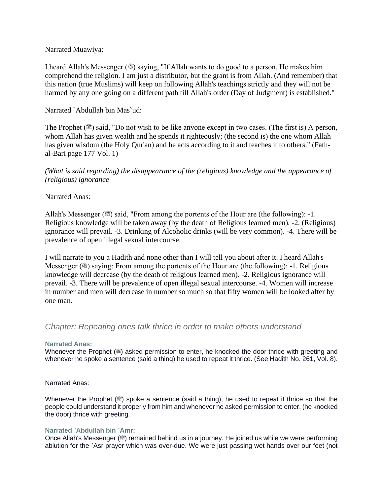## Narrated Muawiya:

I heard Allah's Messenger ( $\equiv$ ) saying, "If Allah wants to do good to a person, He makes him comprehend the religion. I am just a distributor, but the grant is from Allah. (And remember) that this nation (true Muslims) will keep on following Allah's teachings strictly and they will not be harmed by any one going on a different path till Allah's order (Day of Judgment) is established."

## Narrated `Abdullah bin Mas`ud:

The Prophet ( $\mathcal{E}$ ) said, "Do not wish to be like anyone except in two cases. (The first is) A person, whom Allah has given wealth and he spends it righteously; (the second is) the one whom Allah has given wisdom (the Holy Qur'an) and he acts according to it and teaches it to others." (Fathal-Bari page 177 Vol. 1)

*(What is said regarding) the disappearance of the (religious) knowledge and the appearance of (religious) ignorance*

### Narrated Anas:

Allah's Messenger ( $\equiv$ ) said, "From among the portents of the Hour are (the following): -1. Religious knowledge will be taken away (by the death of Religious learned men). -2. (Religious) ignorance will prevail. -3. Drinking of Alcoholic drinks (will be very common). -4. There will be prevalence of open illegal sexual intercourse.

I will narrate to you a Hadith and none other than I will tell you about after it. I heard Allah's Messenger ( $\mathcal{F}$ ) saying: From among the portents of the Hour are (the following): -1. Religious knowledge will decrease (by the death of religious learned men). -2. Religious ignorance will prevail. -3. There will be prevalence of open illegal sexual intercourse. -4. Women will increase in number and men will decrease in number so much so that fifty women will be looked after by one man.

# *Chapter: Repeating ones talk thrice in order to make others understand*

### **Narrated Anas:**

Whenever the Prophet ( $\ddot{\textbf{a}}$ ) asked permission to enter, he knocked the door thrice with greeting and whenever he spoke a sentence (said a thing) he used to repeat it thrice. (See Hadith No. 261, Vol. 8).

### Narrated Anas:

Whenever the Prophet ( $\gg$ ) spoke a sentence (said a thing), he used to repeat it thrice so that the people could understand it properly from him and whenever he asked permission to enter, (he knocked the door) thrice with greeting.

### **Narrated `Abdullah bin `Amr:**

Once Allah's Messenger (.) remained behind us in a journey. He joined us while we were performing ablution for the `Asr prayer which was over-due. We were just passing wet hands over our feet (not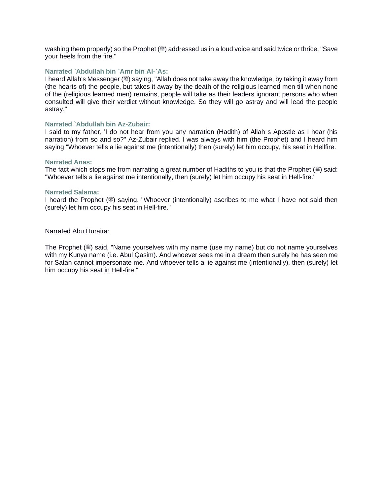washing them properly) so the Prophet (s) addressed us in a loud voice and said twice or thrice, "Save your heels from the fire."

#### **Narrated `Abdullah bin `Amr bin Al-`As:**

I heard Allah's Messenger (3) saying, "Allah does not take away the knowledge, by taking it away from (the hearts of) the people, but takes it away by the death of the religious learned men till when none of the (religious learned men) remains, people will take as their leaders ignorant persons who when consulted will give their verdict without knowledge. So they will go astray and will lead the people astray."

#### **Narrated `Abdullah bin Az-Zubair:**

I said to my father, 'I do not hear from you any narration (Hadith) of Allah s Apostle as I hear (his narration) from so and so?" Az-Zubair replied. l was always with him (the Prophet) and I heard him saying "Whoever tells a lie against me (intentionally) then (surely) let him occupy, his seat in Hellfire.

#### **Narrated Anas:**

The fact which stops me from narrating a great number of Hadiths to you is that the Prophet ( $\equiv$ ) said: "Whoever tells a lie against me intentionally, then (surely) let him occupy his seat in Hell-fire."

#### **Narrated Salama:**

I heard the Prophet ( $\equiv$ ) saying, "Whoever (intentionally) ascribes to me what I have not said then (surely) let him occupy his seat in Hell-fire."

Narrated Abu Huraira:

The Prophet ( $\equiv$ ) said, "Name yourselves with my name (use my name) but do not name yourselves with my Kunya name (i.e. Abul Qasim). And whoever sees me in a dream then surely he has seen me for Satan cannot impersonate me. And whoever tells a lie against me (intentionally), then (surely) let him occupy his seat in Hell-fire."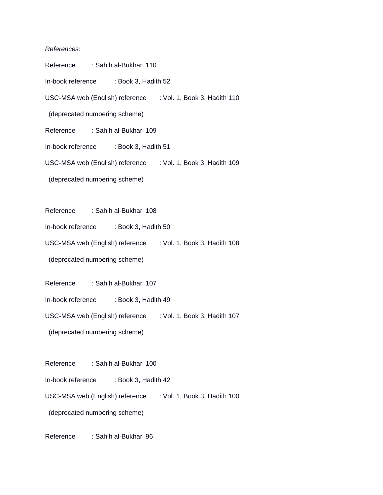#### *References:*

| Reference : Sahih al-Bukhari 110                                |  |                        |                                                              |                                                              |  |  |
|-----------------------------------------------------------------|--|------------------------|--------------------------------------------------------------|--------------------------------------------------------------|--|--|
| In-book reference : Book 3, Hadith 52                           |  |                        |                                                              |                                                              |  |  |
|                                                                 |  |                        |                                                              | USC-MSA web (English) reference : Vol. 1, Book 3, Hadith 110 |  |  |
| (deprecated numbering scheme)                                   |  |                        |                                                              |                                                              |  |  |
| Reference : Sahih al-Bukhari 109                                |  |                        |                                                              |                                                              |  |  |
| In-book reference : Book 3, Hadith 51                           |  |                        |                                                              |                                                              |  |  |
|                                                                 |  |                        |                                                              | USC-MSA web (English) reference : Vol. 1, Book 3, Hadith 109 |  |  |
| (deprecated numbering scheme)                                   |  |                        |                                                              |                                                              |  |  |
|                                                                 |  |                        |                                                              |                                                              |  |  |
| Reference : Sahih al-Bukhari 108                                |  |                        |                                                              |                                                              |  |  |
| In-book reference : Book 3, Hadith 50                           |  |                        |                                                              |                                                              |  |  |
| USC-MSA web (English) reference : Vol. 1, Book 3, Hadith 108    |  |                        |                                                              |                                                              |  |  |
| (deprecated numbering scheme)                                   |  |                        |                                                              |                                                              |  |  |
| Reference : Sahih al-Bukhari 107                                |  |                        |                                                              |                                                              |  |  |
| In-book reference : Book 3, Hadith 49                           |  |                        |                                                              |                                                              |  |  |
|                                                                 |  |                        | USC-MSA web (English) reference : Vol. 1, Book 3, Hadith 107 |                                                              |  |  |
| (deprecated numbering scheme)                                   |  |                        |                                                              |                                                              |  |  |
|                                                                 |  |                        |                                                              |                                                              |  |  |
| Reference                                                       |  | : Sahih al-Bukhari 100 |                                                              |                                                              |  |  |
| In-book reference : Book 3, Hadith 42                           |  |                        |                                                              |                                                              |  |  |
| USC-MSA web (English) reference<br>: Vol. 1, Book 3, Hadith 100 |  |                        |                                                              |                                                              |  |  |
| (deprecated numbering scheme)                                   |  |                        |                                                              |                                                              |  |  |

Reference : Sahih al-Bukhari 96